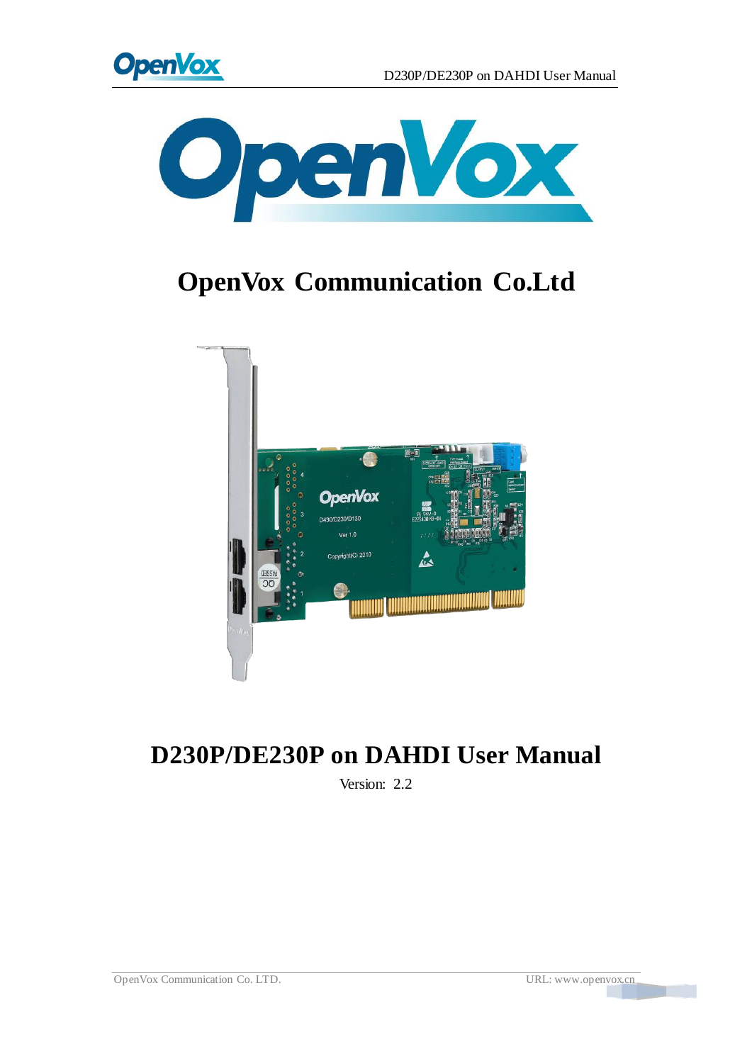



# **OpenVox Communication Co.Ltd**



## **D230P/DE230P on DAHDI User Manual**

Version: 2.2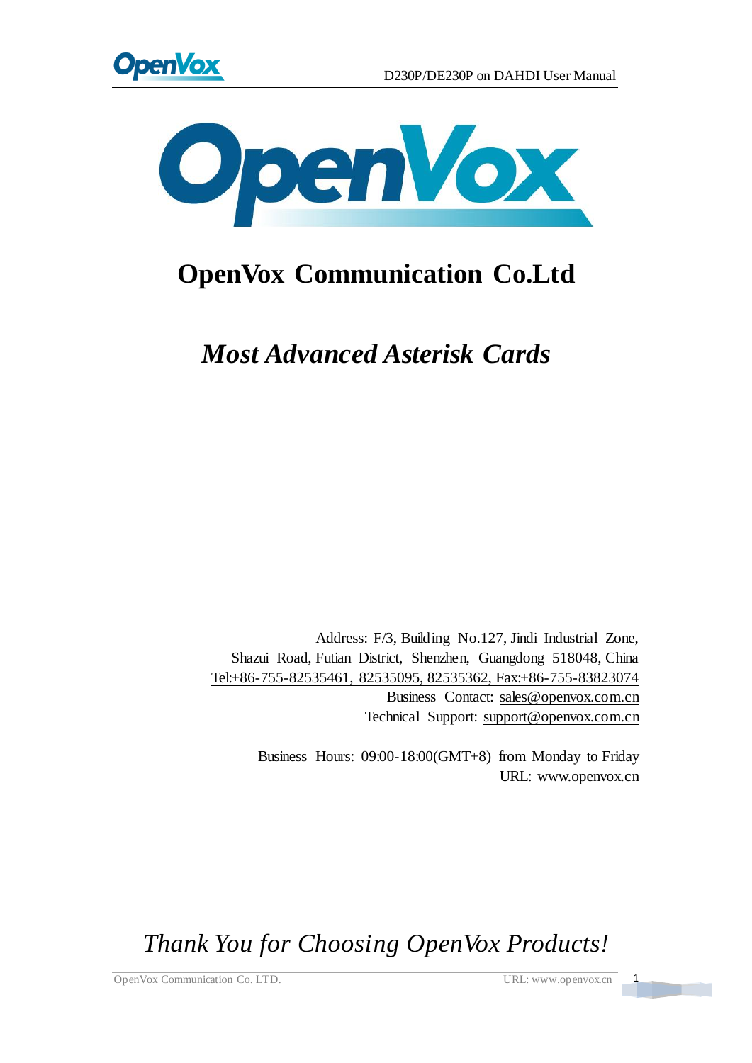



# **OpenVox Communication Co.Ltd**

*Most Advanced Asterisk Cards*

Address: F/3, Building No.127, Jindi Industrial Zone, Shazui Road, Futian District, Shenzhen, Guangdong 518048, China Tel:+86-755-82535461, 82535095, 82535362, Fax:+86-755-83823074 Business Contact: sales@openvox.com.cn Technical Support[: support@openvox.com.cn](mailto:support@openvox.com.cn)

> Business Hours: 09:00-18:00(GMT+8) from Monday to Friday URL: www.openvox.cn

*Thank You for Choosing OpenVox Products!*

OpenVox Communication Co. LTD. URL: www.openvox.cn 1

 $\frac{1}{2}$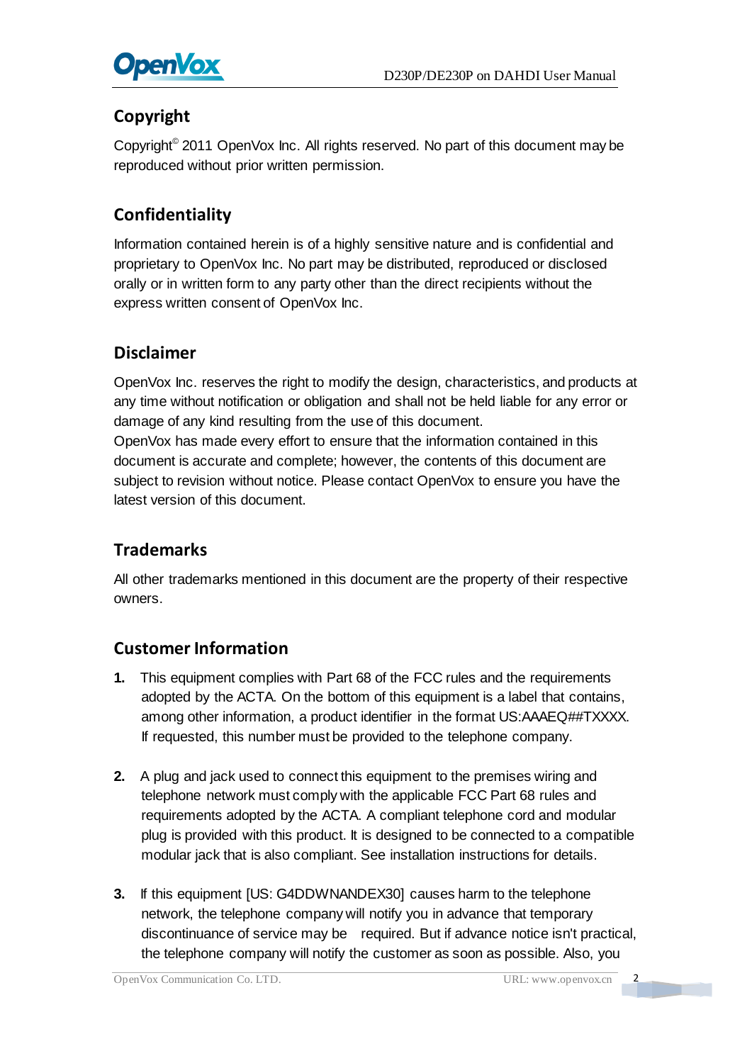

### **Copyright**

Copyright© 2011 OpenVox Inc. All rights reserved. No part of this document may be reproduced without prior written permission.

## **Confidentiality**

Information contained herein is of a highly sensitive nature and is confidential and proprietary to OpenVox Inc. No part may be distributed, reproduced or disclosed orally or in written form to any party other than the direct recipients without the express written consent of OpenVox Inc.

#### **Disclaimer**

OpenVox Inc. reserves the right to modify the design, characteristics, and products at any time without notification or obligation and shall not be held liable for any error or damage of any kind resulting from the use of this document.

OpenVox has made every effort to ensure that the information contained in this document is accurate and complete; however, the contents of this document are subject to revision without notice. Please contact OpenVox to ensure you have the latest version of this document.

#### **Trademarks**

All other trademarks mentioned in this document are the property of their respective owners.

#### **Customer Information**

- **1.** This equipment complies with Part 68 of the FCC rules and the requirements adopted by the ACTA. On the bottom of this equipment is a label that contains, among other information, a product identifier in the format US:AAAEQ##TXXXX. If requested, this number must be provided to the telephone company.
- **2.** A plug and jack used to connect this equipment to the premises wiring and telephone network must comply with the applicable FCC Part 68 rules and requirements adopted by the ACTA. A compliant telephone cord and modular plug is provided with this product. It is designed to be connected to a compatible modular jack that is also compliant. See installation instructions for details.
- **3.** If this equipment [US: G4DDWNANDEX30] causes harm to the telephone network, the telephone company will notify you in advance that temporary discontinuance of service may be required. But if advance notice isn't practical, the telephone company will notify the customer as soon as possible. Also, you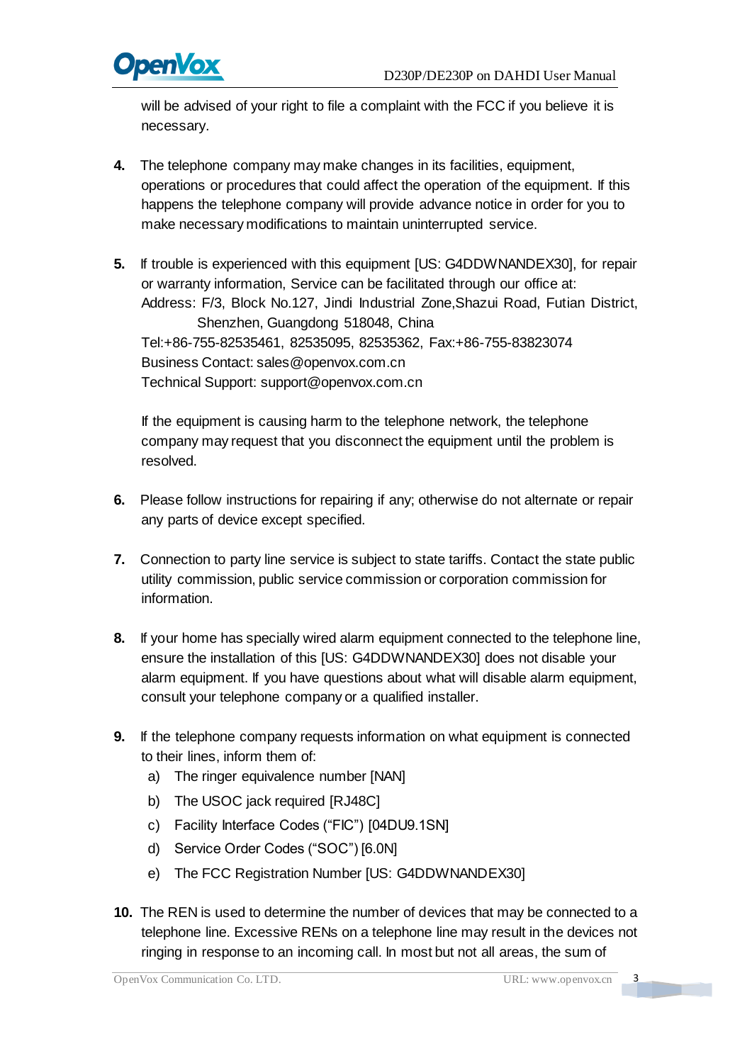

will be advised of your right to file a complaint with the FCC if you believe it is necessary.

- **4.** The telephone company may make changes in its facilities, equipment, operations or procedures that could affect the operation of the equipment. If this happens the telephone company will provide advance notice in order for you to make necessary modifications to maintain uninterrupted service.
- **5.** If trouble is experienced with this equipment [US: G4DDWNANDEX30], for repair or warranty information, Service can be facilitated through our office at: Address: F/3, Block No.127, Jindi Industrial Zone,Shazui Road, Futian District, Shenzhen, Guangdong 518048, China Tel:+86-755-82535461, 82535095, 82535362, Fax:+86-755-83823074 Business Contact: sales@openvox.com.cn Technical Support: [support@openvox.com.cn](mailto:support@openvox.com.cn)

If the equipment is causing harm to the telephone network, the telephone company may request that you disconnect the equipment until the problem is resolved.

- **6.** Please follow instructions for repairing if any; otherwise do not alternate or repair any parts of device except specified.
- **7.** Connection to party line service is subject to state tariffs. Contact the state public utility commission, public service commission or corporation commission for information.
- **8.** If your home has specially wired alarm equipment connected to the telephone line, ensure the installation of this [US: G4DDWNANDEX30] does not disable your alarm equipment. If you have questions about what will disable alarm equipment, consult your telephone company or a qualified installer.
- **9.** If the telephone company requests information on what equipment is connected to their lines, inform them of:
	- a) The ringer equivalence number [NAN]
	- b) The USOC jack required [RJ48C]
	- c) Facility Interface Codes ("FIC") [04DU9.1SN]
	- d) Service Order Codes ("SOC") [6.0N]
	- e) The FCC Registration Number [US: G4DDWNANDEX30]
- **10.** The REN is used to determine the number of devices that may be connected to a telephone line. Excessive RENs on a telephone line may result in the devices not ringing in response to an incoming call. In most but not all areas, the sum of

 $\overline{\mathbf{3}}$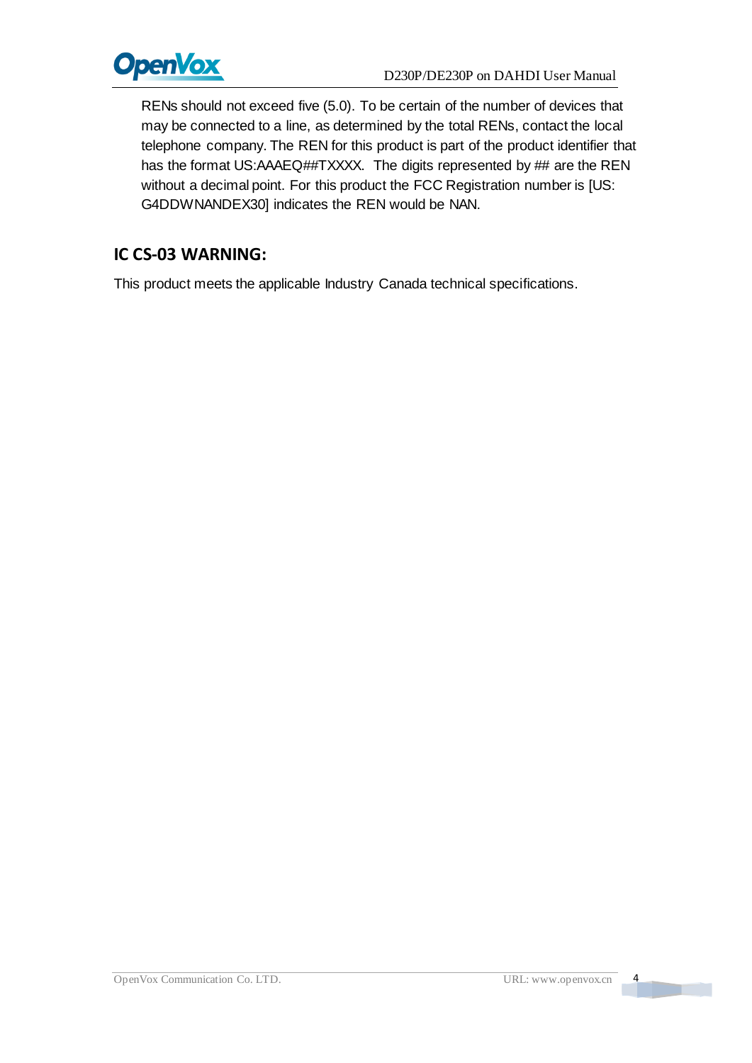

RENs should not exceed five (5.0). To be certain of the number of devices that may be connected to a line, as determined by the total RENs, contact the local telephone company. The REN for this product is part of the product identifier that has the format US:AAAEQ##TXXXX. The digits represented by ## are the REN without a decimal point. For this product the FCC Registration number is [US: G4DDWNANDEX30] indicates the REN would be NAN.

#### **IC CS-03 WARNING:**

This product meets the applicable Industry Canada technical specifications.

 $\overline{a}$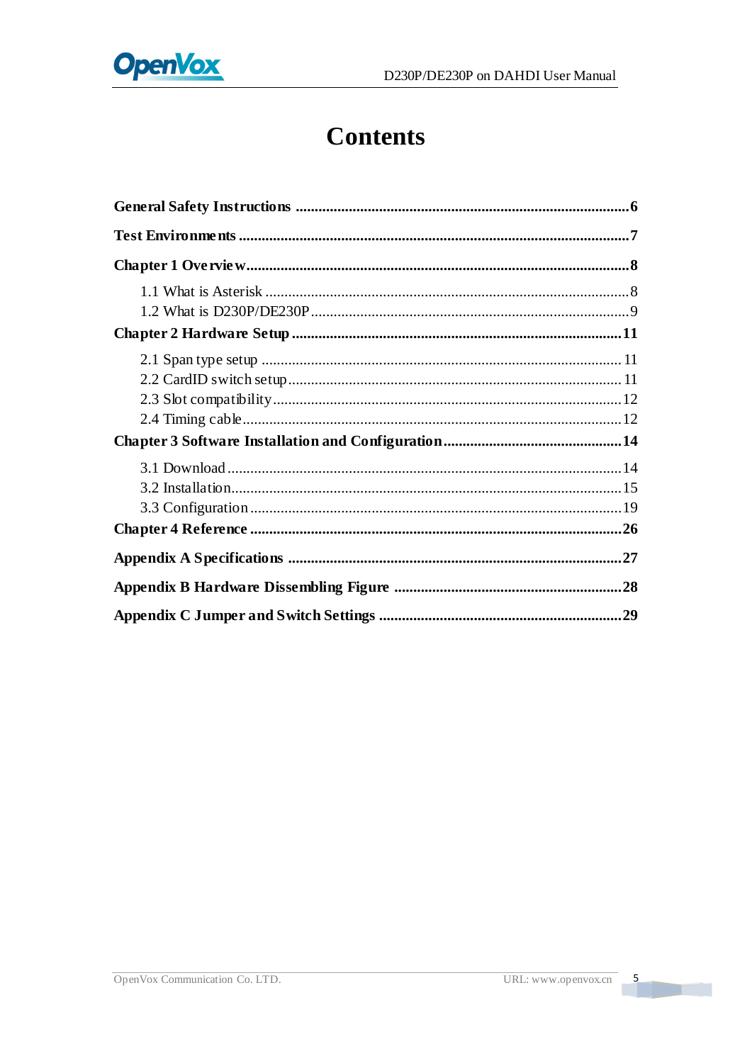# **Contents**

 $\overline{\phantom{a}}$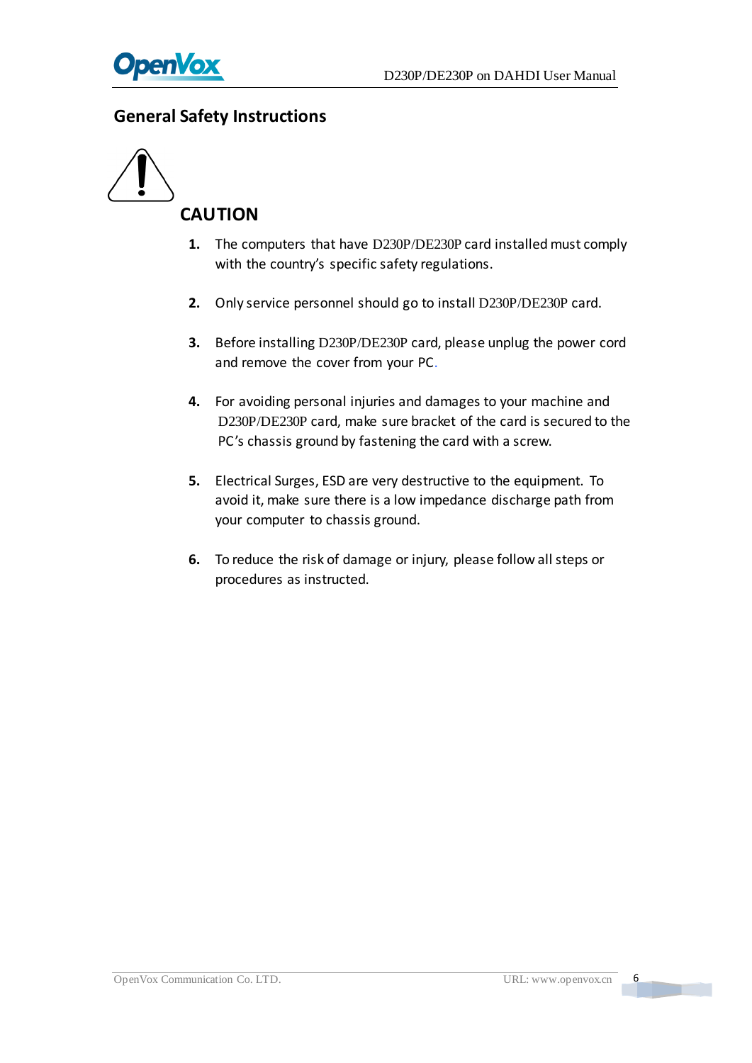

#### <span id="page-6-0"></span>**General Safety Instructions**



- **1.** The computers that have D230P/DE230P card installed must comply with the country's specific safety regulations.
- **2.** Only service personnel should go to install D230P/DE230P card.
- **3.** Before installing D230P/DE230P card, please unplug the power cord and remove the cover from your PC.
- **4.** For avoiding personal injuries and damages to your machine and D230P/DE230P card, make sure bracket of the card is secured to the PC's chassis ground by fastening the card with a screw.
- **5.** Electrical Surges, ESD are very destructive to the equipment. To avoid it, make sure there is a low impedance discharge path from your computer to chassis ground.
- **6.** To reduce the risk of damage or injury, please follow all steps or procedures as instructed.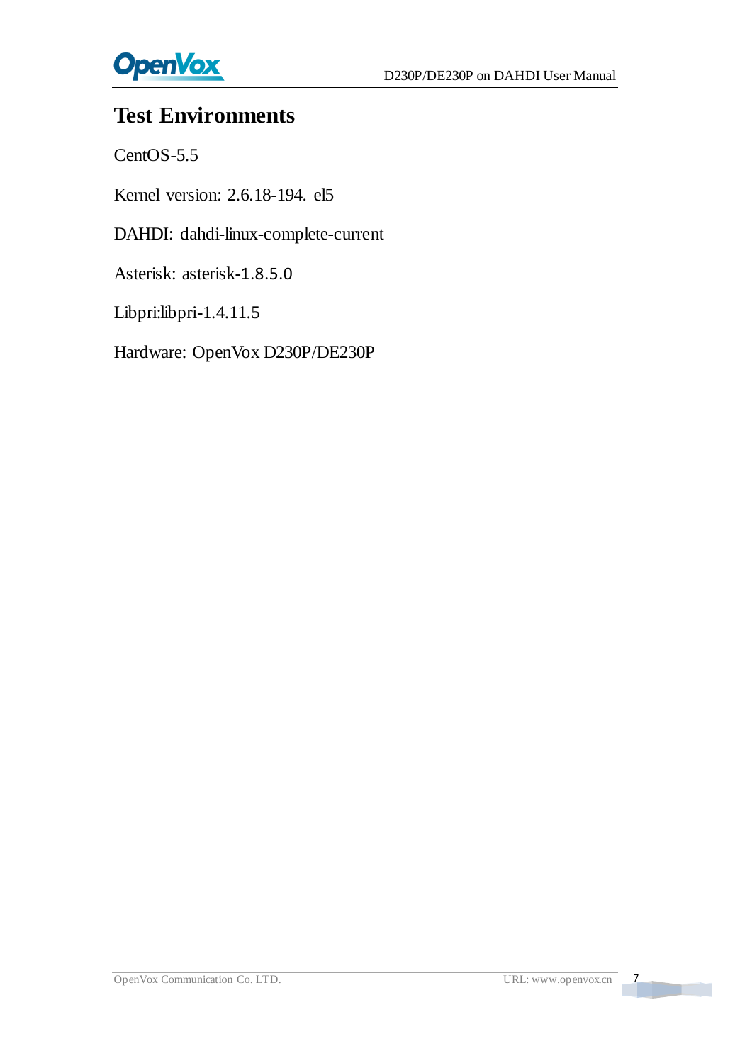

## <span id="page-7-0"></span>**Test Environments**

CentOS-5.5

Kernel version: 2.6.18-194. el5

DAHDI: dahdi-linux-complete-current

Asterisk: asterisk-1.8.5.0

Libpri:libpri-1.4.11.5

Hardware: OpenVox D230P/DE230P

 $\overline{7}$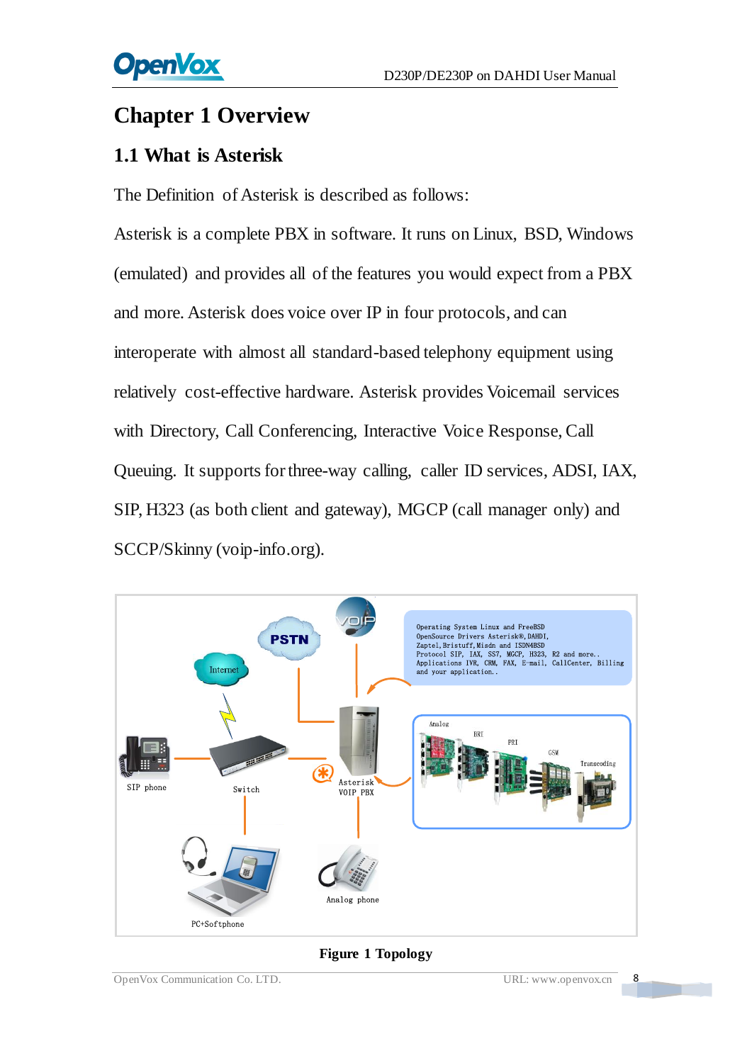## <span id="page-8-0"></span>**Chapter 1 Overview**

## <span id="page-8-1"></span>**1.1 What is Asterisk**

The Definition of Asterisk is described as follows:

Asterisk is a complete PBX in software. It runs on Linux, BSD, Windows (emulated) and provides all of the features you would expect from a PBX and more. Asterisk does voice over IP in four protocols, and can interoperate with almost all standard-based telephony equipment using relatively cost-effective hardware. Asterisk provides Voicemail services with Directory, Call Conferencing, Interactive Voice Response, Call Queuing. It supports for three-way calling, caller ID services, ADSI, IAX, SIP, H323 (as both client and gateway), MGCP (call manager only) and SCCP/Skinny (voip-info.org).



#### **Figure 1 Topology**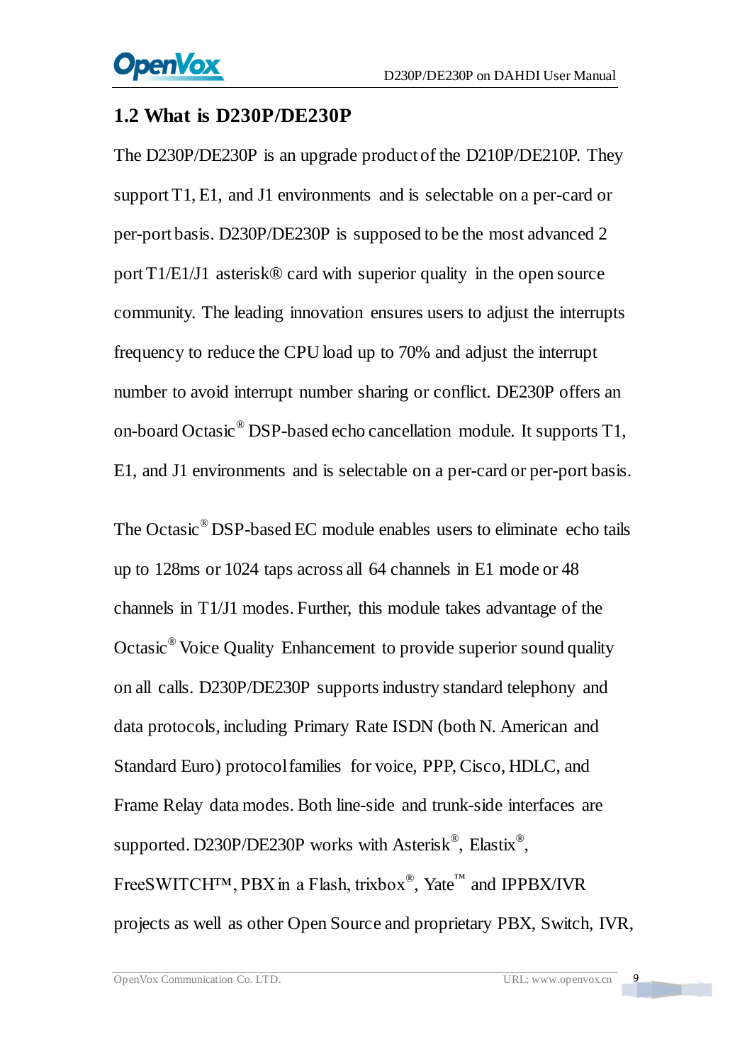### <span id="page-9-0"></span>**1.2 What is D230P/DE230P**

The D230P/DE230P is an upgrade product of the D210P/DE210P. They support T1, E1, and J1 environments and is selectable on a per-card or per-port basis. D230P/DE230P is supposed to be the most advanced 2 port T1/E1/J1 asterisk® card with superior quality in the open source community. The leading innovation ensures users to adjust the interrupts frequency to reduce the CPU load up to 70% and adjust the interrupt number to avoid interrupt number sharing or conflict. DE230P offers an on-board Octasic® DSP-based echo cancellation module. It supports T1, E1, and J1 environments and is selectable on a per-card or per-port basis.

The Octasic® DSP-based EC module enables users to eliminate echo tails up to 128ms or 1024 taps across all 64 channels in E1 mode or 48 channels in T1/J1 modes. Further, this module takes advantage of the Octasic® Voice Quality Enhancement to provide superior sound quality on all calls. D230P/DE230P supports industry standard telephony and data protocols, including Primary Rate ISDN (both N. American and Standard Euro) protocol families for voice, PPP, Cisco, HDLC, and Frame Relay data modes. Both line-side and trunk-side interfaces are supported. D230P/DE230P works with Asterisk<sup>®</sup>, Elastix<sup>®</sup>, FreeSWITCH<sup>™</sup>, PBX in a Flash, trixbox<sup>®</sup>, Yate<sup>™</sup> and IPPBX/IVR projects as well as other Open Source and proprietary PBX, Switch, IVR,

 $\overline{9}$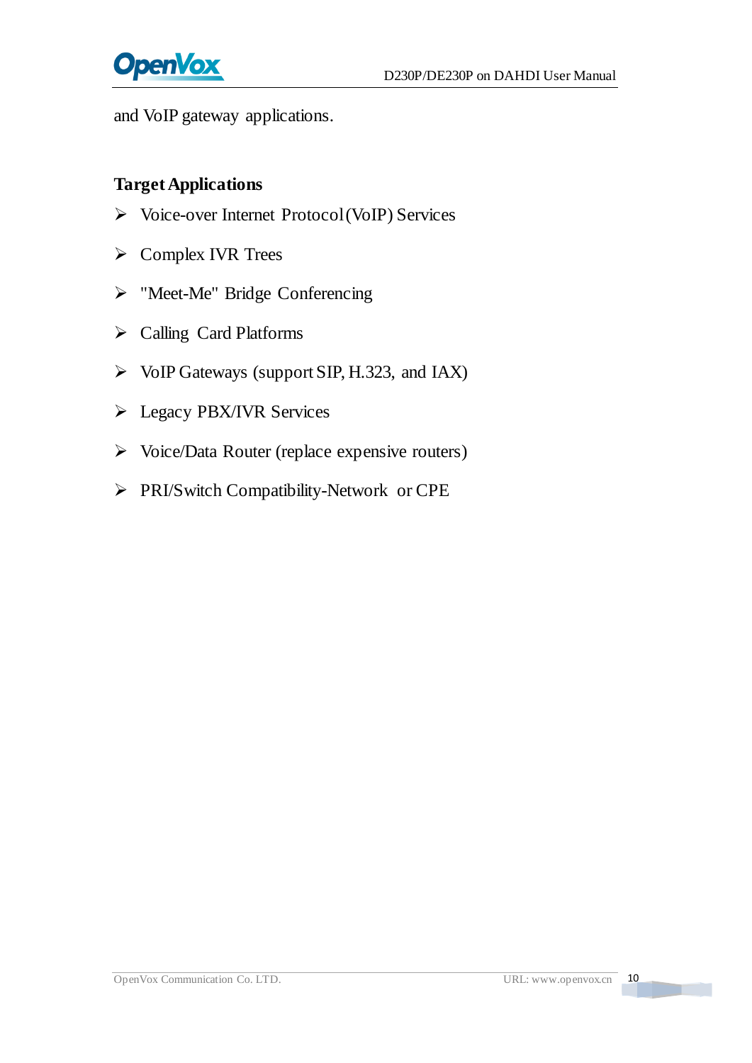

and VoIP gateway applications.

#### **Target Applications**

- Voice-over Internet Protocol (VoIP) Services
- $\triangleright$  Complex IVR Trees
- > "Meet-Me" Bridge Conferencing
- Calling Card Platforms
- $\triangleright$  VoIP Gateways (support SIP, H.323, and IAX)
- **Eqacy PBX/IVR Services**
- $\triangleright$  Voice/Data Router (replace expensive routers)
- PRI/Switch Compatibility-Network or CPE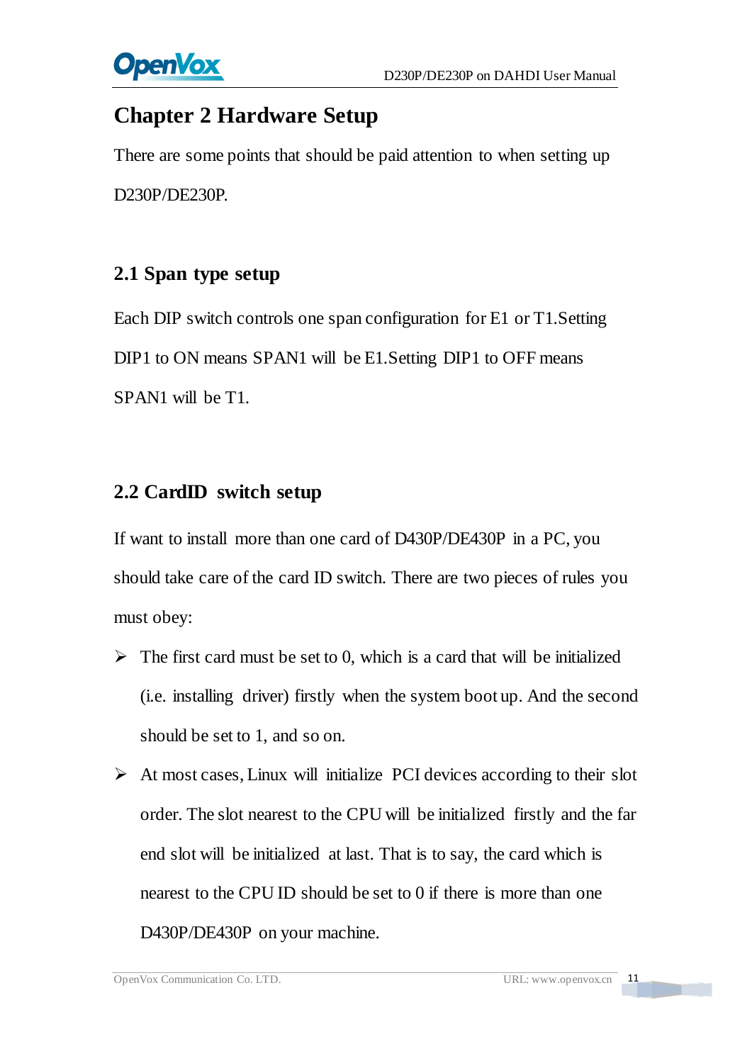

## <span id="page-11-0"></span>**Chapter 2 Hardware Setup**

There are some points that should be paid attention to when setting up D230P/DE230P.

## <span id="page-11-1"></span>**2.1 Span type setup**

Each DIP switch controls one span configuration for E1 or T1.Setting DIP1 to ON means SPAN1 will be E1. Setting DIP1 to OFF means SPAN1 will be T1.

## <span id="page-11-2"></span>**2.2 CardID switch setup**

If want to install more than one card of D430P/DE430P in a PC, you should take care of the card ID switch. There are two pieces of rules you must obey:

- $\triangleright$  The first card must be set to 0, which is a card that will be initialized (i.e. installing driver) firstly when the system boot up. And the second should be set to 1, and so on.
- $\triangleright$  At most cases, Linux will initialize PCI devices according to their slot order. The slot nearest to the CPU will be initialized firstly and the far end slot will be initialized at last. That is to say, the card which is nearest to the CPU ID should be set to 0 if there is more than one D430P/DE430P on your machine.

<u>a ma</u>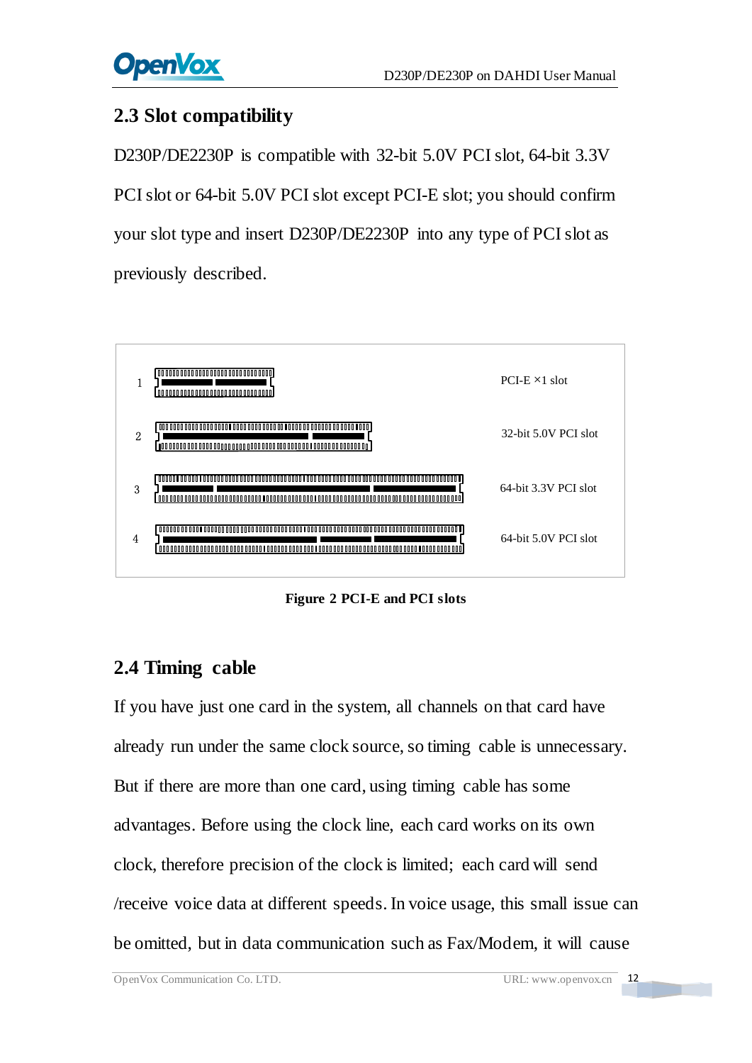## <span id="page-12-0"></span>**2.3 Slot compatibility**

D230P/DE2230P is compatible with 32-bit 5.0V PCI slot, 64-bit 3.3V PCI slot or 64-bit 5.0V PCI slot except PCI-E slot; you should confirm your slot type and insert D230P/DE2230P into any type of PCI slot as previously described.



**Figure 2 PCI-E and PCI slots**

## <span id="page-12-1"></span>**2.4 Timing cable**

If you have just one card in the system, all channels on that card have already run under the same clock source, so timing cable is unnecessary. But if there are more than one card, using timing cable has some advantages. Before using the clock line, each card works on its own clock, therefore precision of the clock is limited; each card will send /receive voice data at different speeds. In voice usage, this small issue can be omitted, but in data communication such as Fax/Modem, it will cause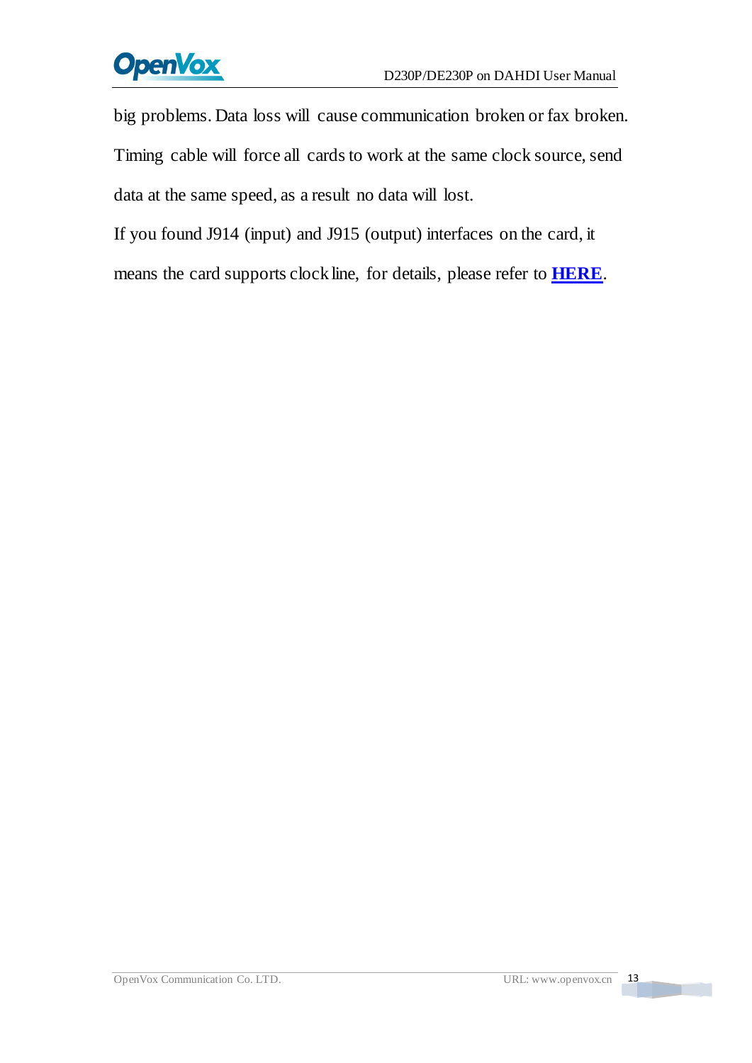# **OpenVox**

big problems. Data loss will cause communication broken or fax broken. Timing cable will force all cards to work at the same clock source, send data at the same speed, as a result no data will lost.

If you found J914 (input) and J915 (output) interfaces on the card, it means the card supports clock line, for details, please refer to **[HERE](http://bbs.openvox.cn/viewthread.php?tid=874&extra=page%3D1)**.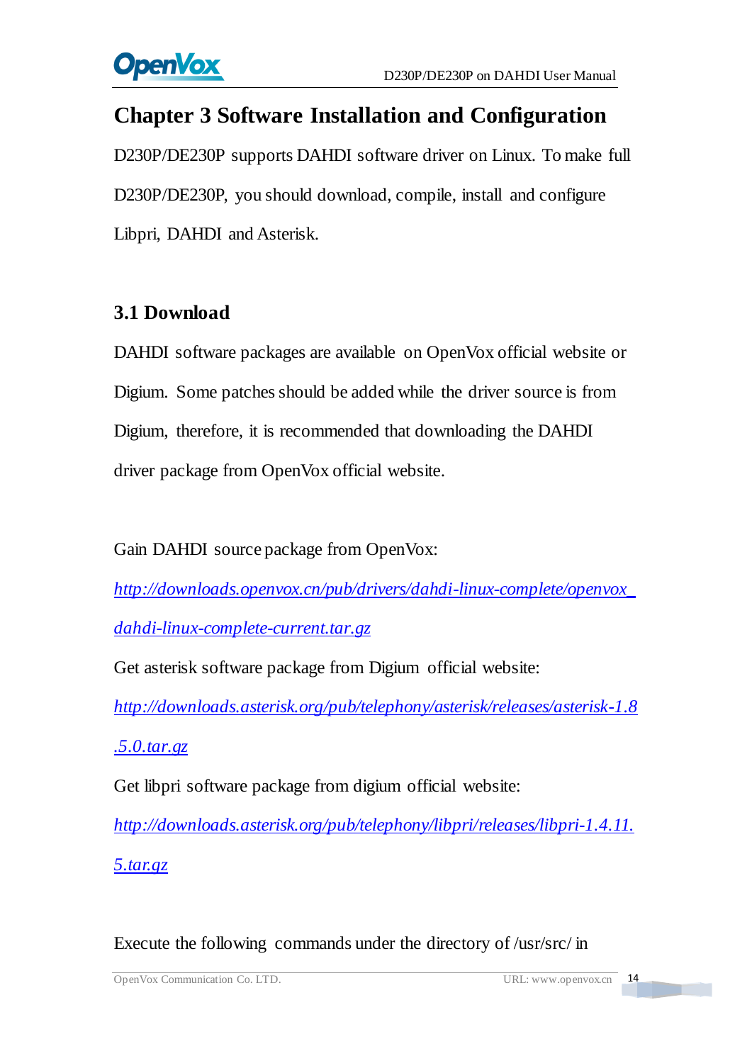

## <span id="page-14-0"></span>**Chapter 3 Software Installation and Configuration**

D230P/DE230P supports DAHDI software driver on Linux. To make full D230P/DE230P, you should download, compile, install and configure Libpri, DAHDI and Asterisk.

## <span id="page-14-1"></span>**3.1 Download**

DAHDI software packages are available on OpenVox official website or Digium. Some patches should be added while the driver source is from Digium, therefore, it is recommended that downloading the DAHDI driver package from OpenVox official website.

Gain DAHDI source package from OpenVox:

*[http://downloads.openvox.cn/pub/drivers/dahdi-linux-complete/openvox\\_](http://downloads.openvox.cn/pub/drivers/dahdi-linux-complete/openvox_dahdi-linux-complete-current.tar.gz) [dahdi-linux-complete-current.tar.gz](http://downloads.openvox.cn/pub/drivers/dahdi-linux-complete/openvox_dahdi-linux-complete-current.tar.gz)*

Get asterisk software package from Digium official website:

*[http://downloads.asterisk.org/pub/telephony/asterisk/releases/asterisk-1.8](http://downloads.asterisk.org/pub/telephony/asterisk/releases/asterisk-1.8.5.0.tar.gz)*

*[.5.0.tar.gz](http://downloads.asterisk.org/pub/telephony/asterisk/releases/asterisk-1.8.5.0.tar.gz)*

Get libpri software package from digium official website:

*[http://downloads.asterisk.org/pub/telephony/libpri/releases/libpri-1.4.11.](http://downloads.asterisk.org/pub/telephony/libpri/releases/libpri-1.4.11.5.tar.gz) [5.tar.gz](http://downloads.asterisk.org/pub/telephony/libpri/releases/libpri-1.4.11.5.tar.gz)*

Execute the following commands under the directory of /usr/src/ in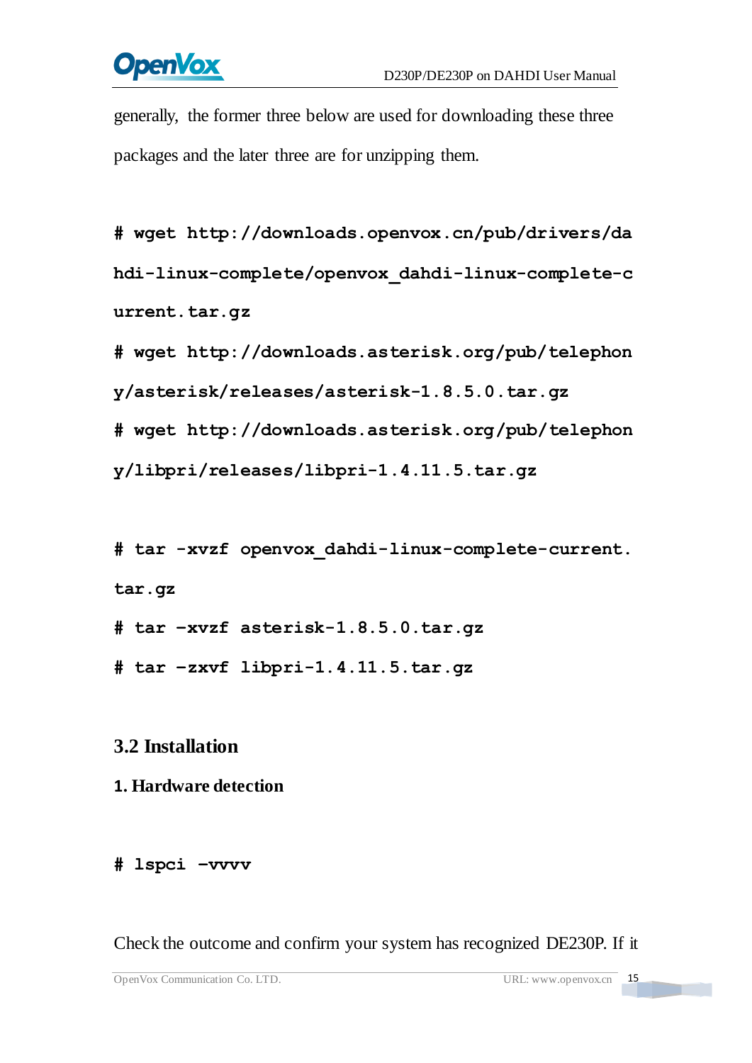# **OpenVox**

generally, the former three below are used for downloading these three packages and the later three are for unzipping them.

**#\_wget[\\_http://downloads.openvox.cn/pub/drivers/da](http://downloads.openvox.cn/pub/drivers/dahdi-linux-complete/openvox_dahdi-linux-complete-current.tar.gz) [hdi-linux-complete/openvox\\_dahdi-linux-complete-c](http://downloads.openvox.cn/pub/drivers/dahdi-linux-complete/openvox_dahdi-linux-complete-current.tar.gz) [urrent.tar.gz](http://downloads.openvox.cn/pub/drivers/dahdi-linux-complete/openvox_dahdi-linux-complete-current.tar.gz)**

**#\_wget[\\_http://downloads.asterisk.org/pub/telephon](http://downloads.asterisk.org/pub/telephony/asterisk/releases/) [y/asterisk/releases/a](http://downloads.asterisk.org/pub/telephony/asterisk/releases/)sterisk-1.8.5.0.tar.gz**

**#\_wget[\\_http://downloads.asterisk.org/pub/telephon](http://downloads.asterisk.org/pub/telephony/libpri/releases/libpri-1.4.11.5.tar.gz)**

**[y/libpri/releases/libpri-1.4.11.5.tar.gzt](http://downloads.asterisk.org/pub/telephony/libpri/releases/libpri-1.4.11.5.tar.gz)ibpri-1.**

**#\_tar\_-xvzf\_openvox\_dahdi-linux-complete-current. tar.gz**

**# tar –xvzf asterisk-1.8.5.0.tar.gz**

**# tar –zxvf libpri-1.4.11.5.tar.gz**

## <span id="page-15-0"></span>**3.2 Installation**

### **1. Hardware detection**

#### **# lspci –vvvv**

Check the outcome and confirm your system has recognized DE230P. If it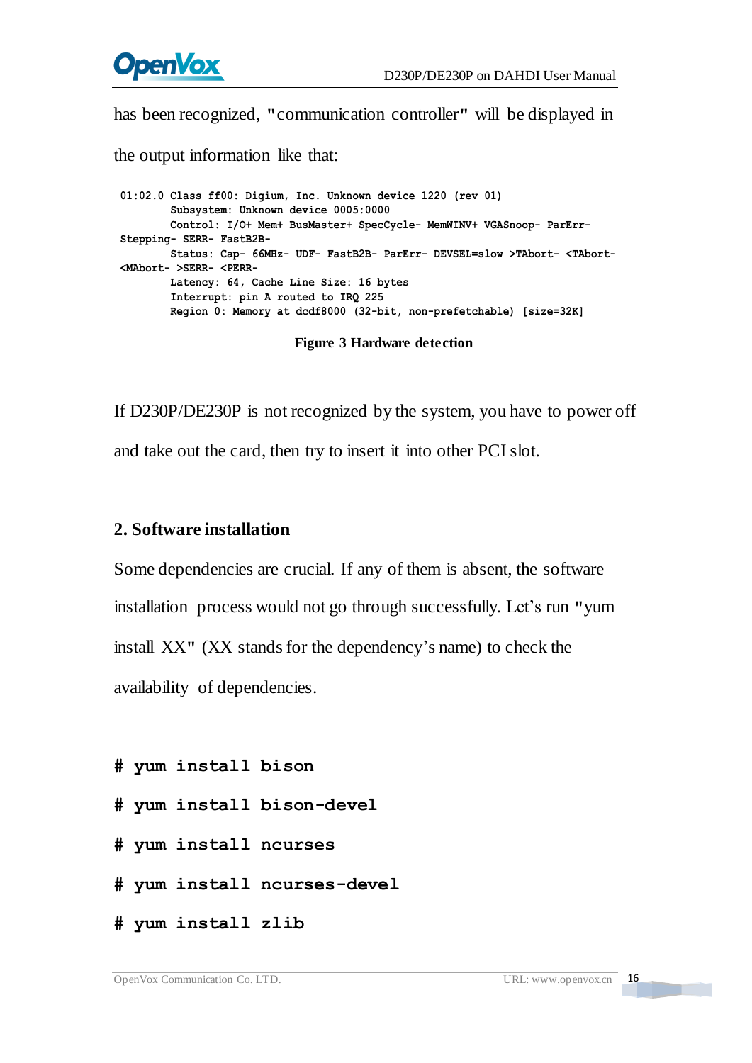

has been recognized, **"**communication controller**"** will be displayed in

the output information like that:

**01:02.0 Class ff00: Digium, Inc. Unknown device 1220 (rev 01) Subsystem: Unknown device 0005:0000 Control: I/O+ Mem+ BusMaster+ SpecCycle- MemWINV+ VGASnoop- ParErr- Stepping- SERR- FastB2B- Status: Cap- 66MHz- UDF- FastB2B- ParErr- DEVSEL=slow >TAbort- <TAbort- <MAbort- >SERR- <PERR- Latency: 64, Cache Line Size: 16 bytes Interrupt: pin A routed to IRQ 225 Region 0: Memory at dcdf8000 (32-bit, non-prefetchable) [size=32K]**

 **Figure 3 Hardware detection**

If D230P/DE230P is not recognized by the system, you have to power off and take out the card, then try to insert it into other PCI slot.

#### **2. Software installation**

Some dependencies are crucial. If any of them is absent, the software installation process would not go through successfully. Let's run **"**yum install XX**"** (XX stands for the dependency's name) to check the availability of dependencies.

**# yum install bison** 

- **# yum install bison-devel**
- **# yum install ncurses**
- **# yum install ncurses-devel**
- **# yum install zlib**

**The Co**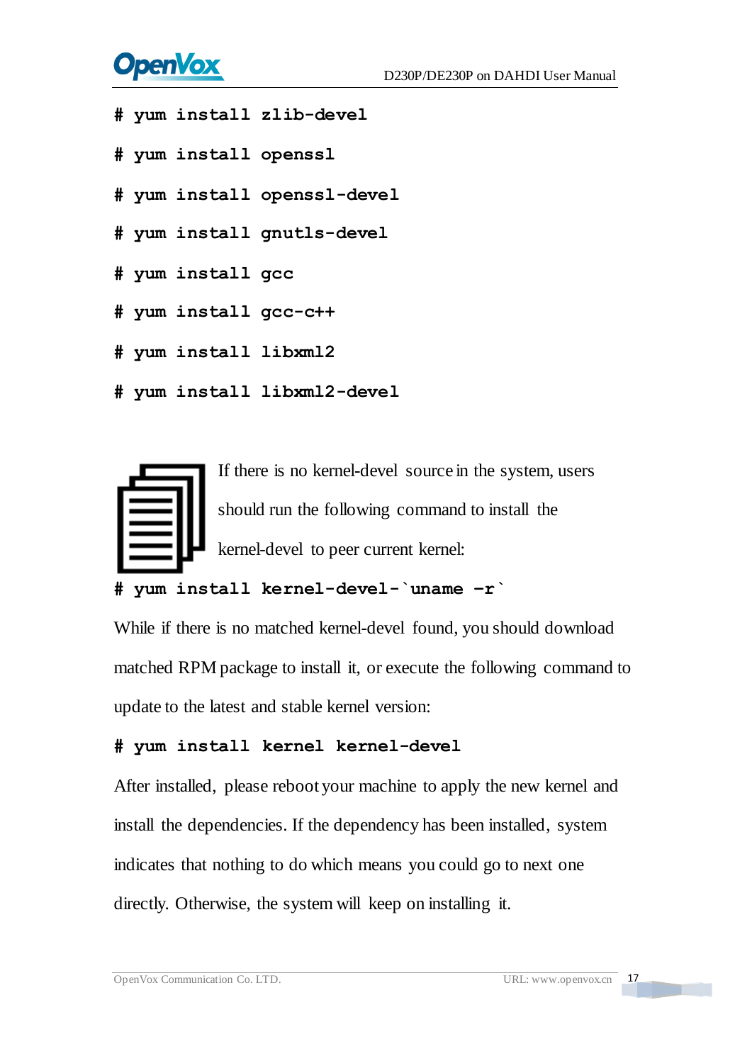# **OpenVox**

- **# yum install zlib-devel**
- **# yum install openssl**
- **# yum install openssl-devel**
- **# yum install gnutls-devel**
- **# yum install gcc**
- **# yum install gcc-c++**
- **# yum install libxml2**
- **# yum install libxml2-devel**



#### **# yum install kernel-devel-`uname –r`**

While if there is no matched kernel-devel found, you should download matched RPM package to install it, or execute the following command to update to the latest and stable kernel version:

#### **# yum install kernel kernel-devel**

After installed, please reboot your machine to apply the new kernel and install the dependencies. If the dependency has been installed, system indicates that nothing to do which means you could go to next one directly. Otherwise, the system will keep on installing it.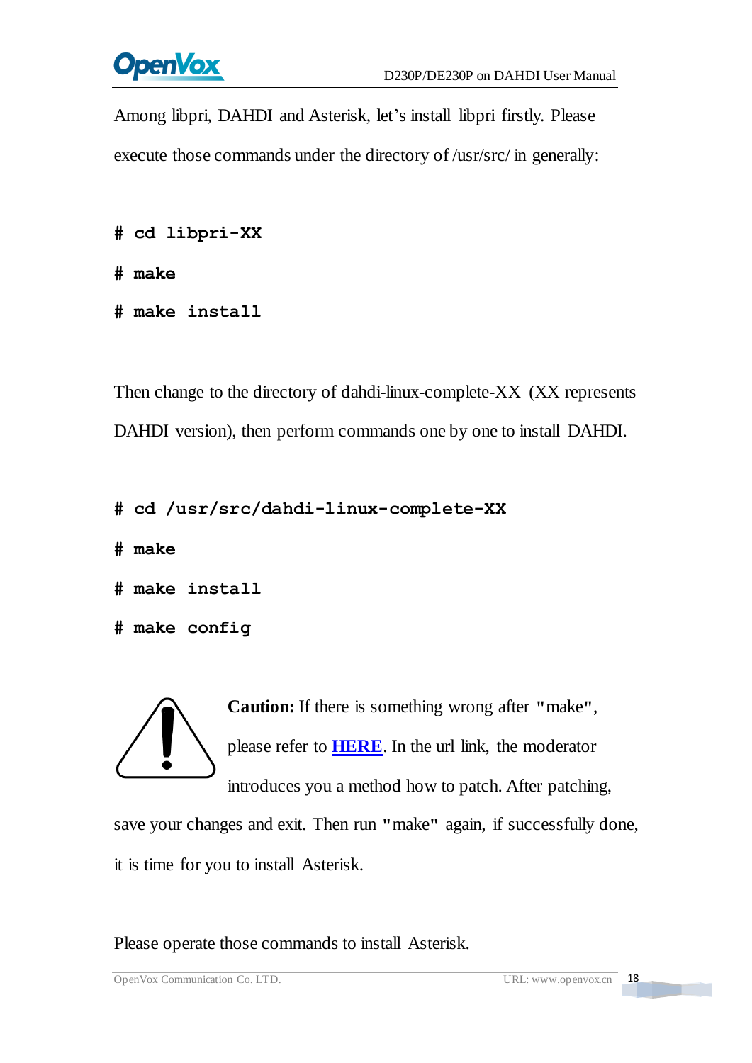

Among libpri, DAHDI and Asterisk, let's install libpri firstly. Please execute those commands under the directory of /usr/src/ in generally:

```
# cd libpri-XX
```
**# make**

**# make install**

Then change to the directory of dahdi-linux-complete-XX (XX represents DAHDI version), then perform commands one by one to install DAHDI.

```
# cd /usr/src/dahdi-linux-complete-XX
```
**# make**

```
# make install
```

```
# make config
```
**Caution:** If there is something wrong after **"**make**"**, please refer to **[HERE](http://bbs.openvox.cn/viewthread.php?tid=1557&extra=page%3D1)**. In the url link, the moderator introduces you a method how to patch. After patching,

save your changes and exit. Then run **"**make**"** again, if successfully done, it is time for you to install Asterisk.

Please operate those commands to install Asterisk.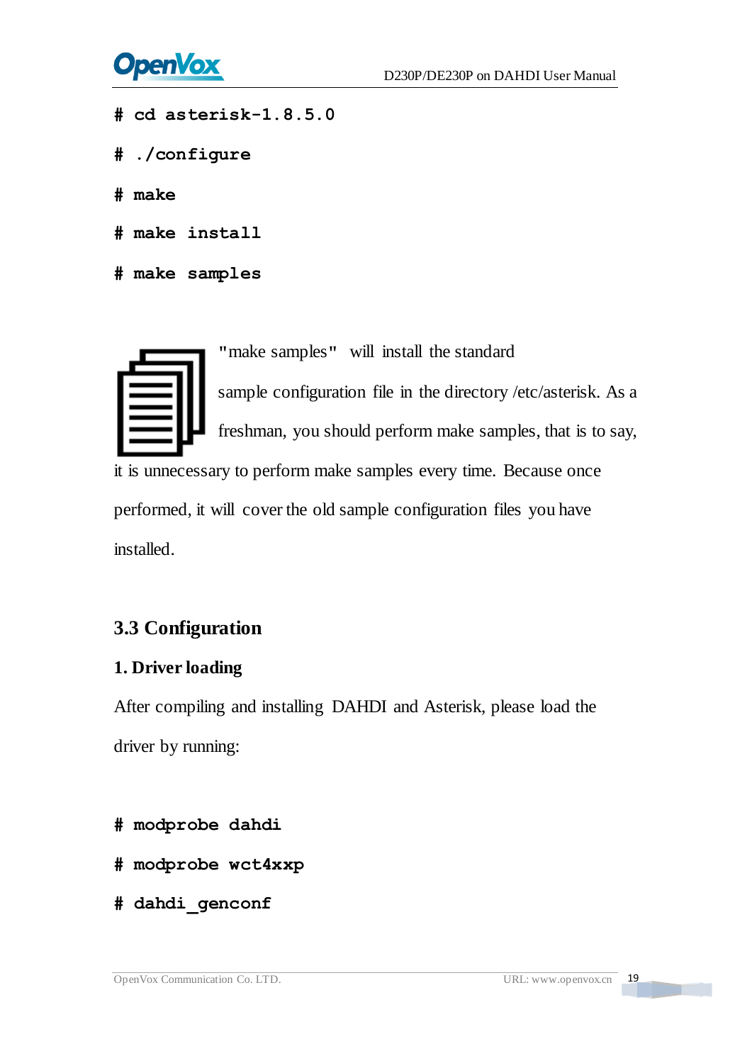

- **# cd asterisk-1.8.5.0**
- **# ./configure**
- **# make**
- **# make install**
- **# make samples**

**"**make samples**"** will install the standard

sample [configuration](http://www.voip-info.org/wiki/view/Asterisk+config+files) file in the directory /etc/asterisk. As a freshman, you should perform make samples, that is to say,

it is unnecessary to perform make samples every time. Because once performed, it will cover the old sample configuration files you have installed.

## <span id="page-19-0"></span>**3.3 Configuration**

#### **1. Driver loading**

After compiling and installing DAHDI and Asterisk, please load the driver by running:

- **# modprobe dahdi**
- **# modprobe wct4xxp**
- **# dahdi\_genconf**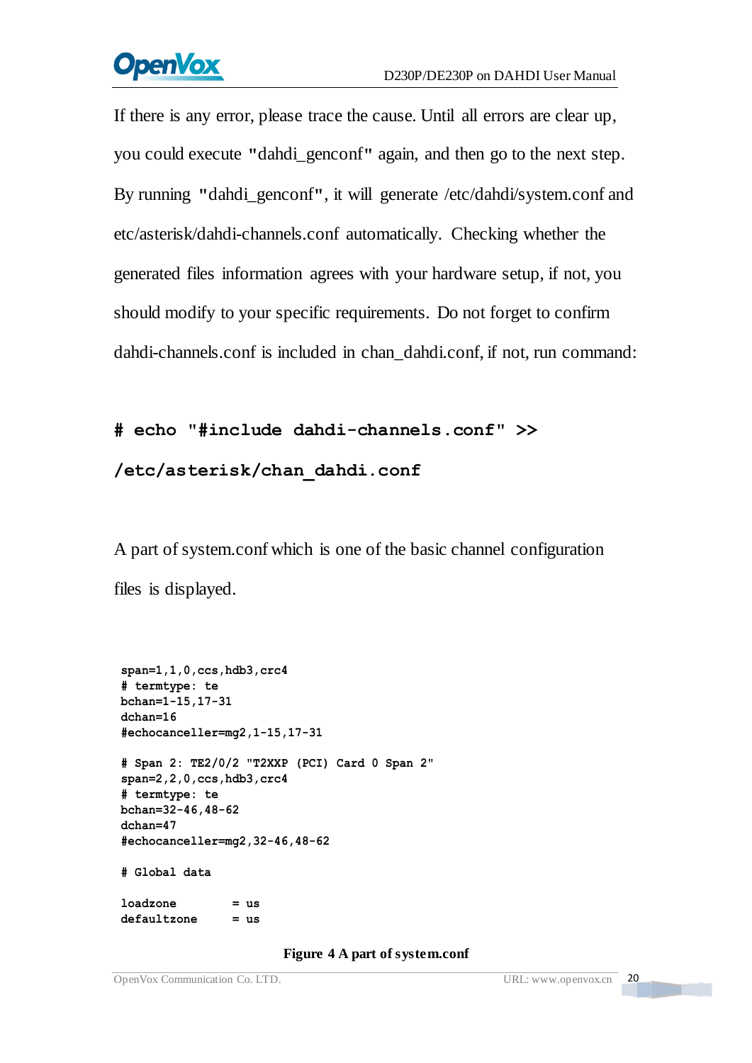# **OpenVox**

If there is any error, please trace the cause. Until all errors are clear up, you could execute **"**dahdi\_genconf**"** again, and then go to the next step. By running **"**dahdi\_genconf**"**, it will generate /etc/dahdi/system.conf and etc/asterisk/dahdi-channels.conf automatically. Checking whether the generated files information agrees with your hardware setup, if not, you should modify to your specific requirements. Do not forget to confirm dahdi-channels.conf is included in chan\_dahdi.conf, if not, run command:

## **# echo "#include dahdi-channels.conf" >>**

#### **/etc/asterisk/chan\_dahdi.conf**

A part of system.conf which is one of the basic channel configuration files is displayed.

```
span=1,1,0,ccs,hdb3,crc4 # termtype: te bchan=1-15,17-31 dchan=16 #echocanceller=mg2,1-15,17-31 # Span 2: TE2/0/2 "T2XXP (PCI) Card 0 Span 2" span=2,2,0,ccs,hdb3,crc4 # termtype: te bchan=32-46,48-62 dchan=47 #echocanceller=mg2,32-46,48-62 # Global data loadzone = us defaultzone = us
```
#### **Figure 4 A part of system.conf**

n Ti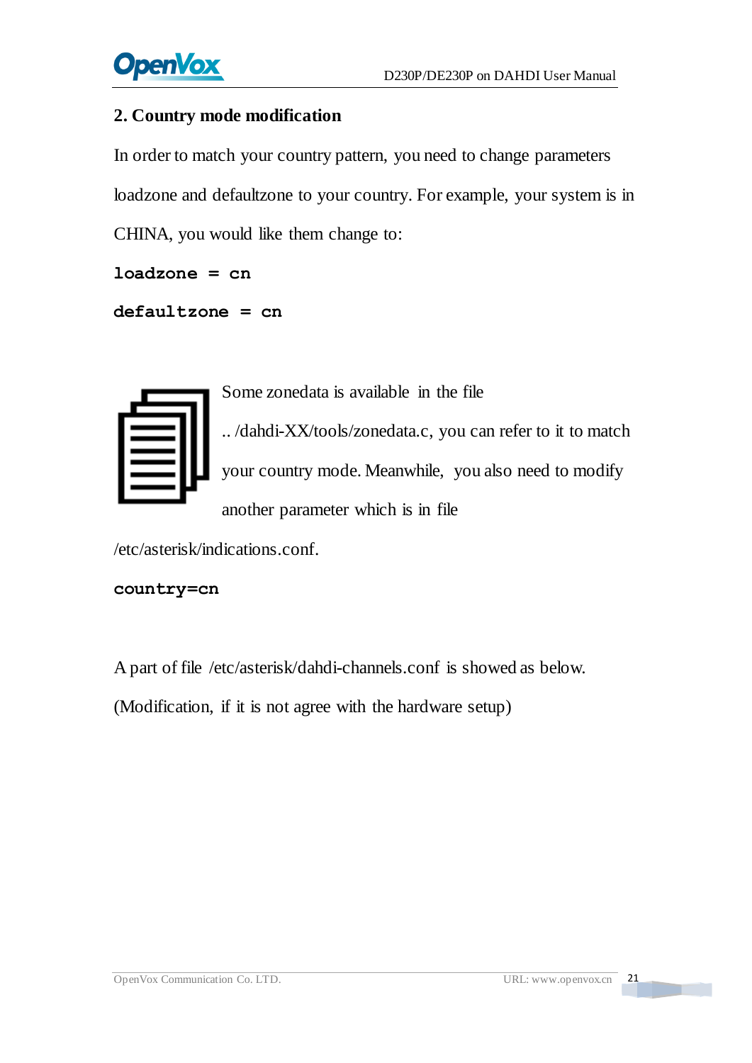

#### **2. Country mode modification**

In order to match your country pattern, you need to change parameters loadzone and defaultzone to your country. For example, your system is in CHINA, you would like them change to:

```
loadzone = cn
```

```
defaultzone = cn
```

Some zonedata is available in the file .. /dahdi-XX/tools/zonedata.c, you can refer to it to match your country mode. Meanwhile, you also need to modify another parameter which is in file

/etc/asterisk/indications.conf.

#### **country=cn**

A part of file /etc/asterisk/dahdi-channels.conf is showed as below.

(Modification, if it is not agree with the hardware setup)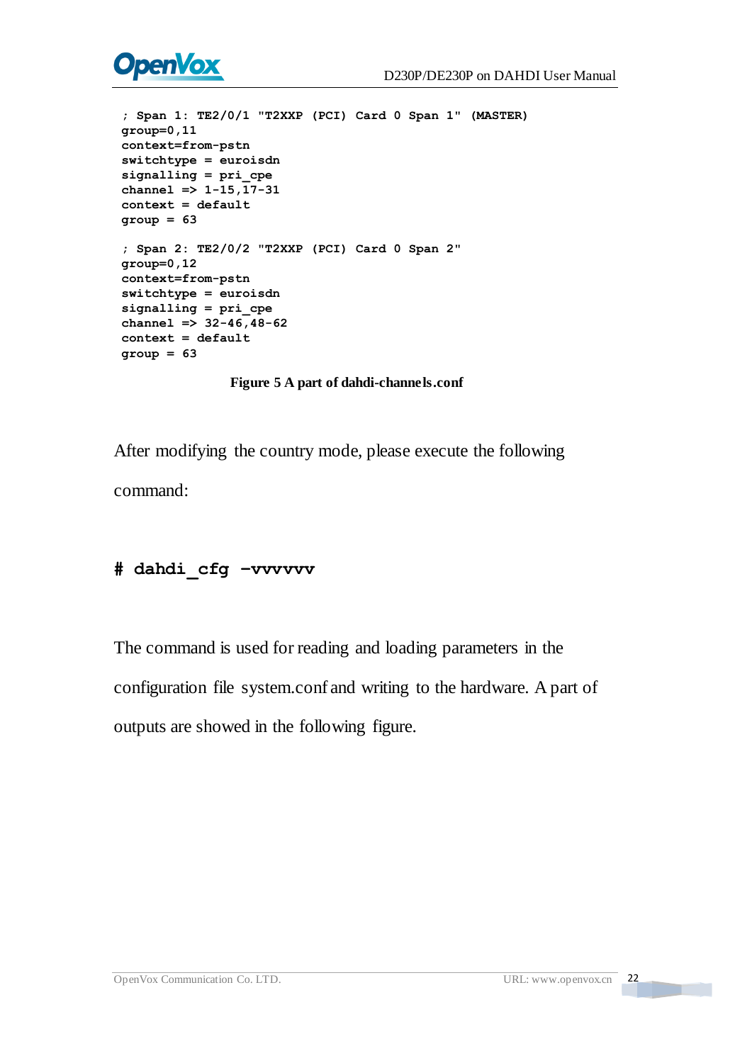

```
; Span 1: TE2/0/1 "T2XXP (PCI) Card 0 Span 1" (MASTER) group=0,11 context=from-pstn switchtype = euroisdn signalling = pri_cpe channel \Rightarrow 1-15, 17-31
context = default group = 63 ; Span 2: TE2/0/2 "T2XXP (PCI) Card 0 Span 2" group=0,12 context=from-pstn switchtype = euroisdn signalling = pri_cpe channel => 32-46,48-62 context = default group = 63
```
**Figure 5 A part of dahdi-channels.conf**

After modifying the country mode, please execute the following command:

#### **# dahdi\_cfg –vvvvvv**

The command is used for reading and loading parameters in the

configuration file system.conf and writing to the hardware. A part of

outputs are showed in the following figure.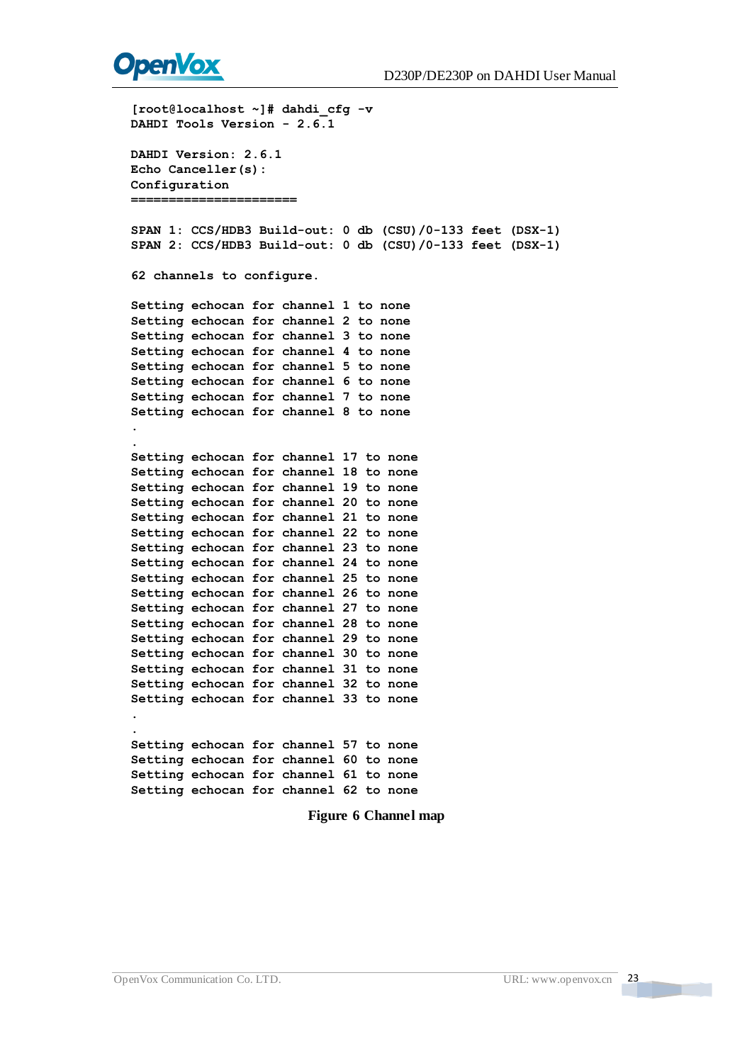

[roct]:localhost - || dank i efg - v<br>
INDUC Teols Version - 2.6.1<br>
DAMDI Teols Version - 2.6.1<br>
DAMDI Version - 2.6.1<br>
CEO Canceller (s):<br>
CEO Canceller (s):<br>
CEO Canceller (s):<br>
CEO Canceller (s):<br>
CEO Canceller (s):<br>
SU **. Setting echocan for channel 17 to none Setting echocan for channel 18 to none Setting echocan for channel 19 to none Setting echocan for channel 20 to none Setting echocan for channel 21 to none Setting echocan for channel 22 to none Setting echocan for channel 23 to none Setting echocan for channel 24 to none Setting echocan for channel 25 to none Setting echocan for channel 26 to none Setting echocan for channel 27 to none Setting echocan for channel 28 to none Setting echocan for channel 29 to none Setting echocan for channel 30 to none Setting echocan for channel 31 to none Setting echocan for channel 32 to none Setting echocan for channel 33 to none . . Setting echocan for channel 57 to none Setting echocan for channel 60 to none Setting echocan for channel 61 to none Setting echocan for channel 62 to none**

#### **Figure 6 Channel map**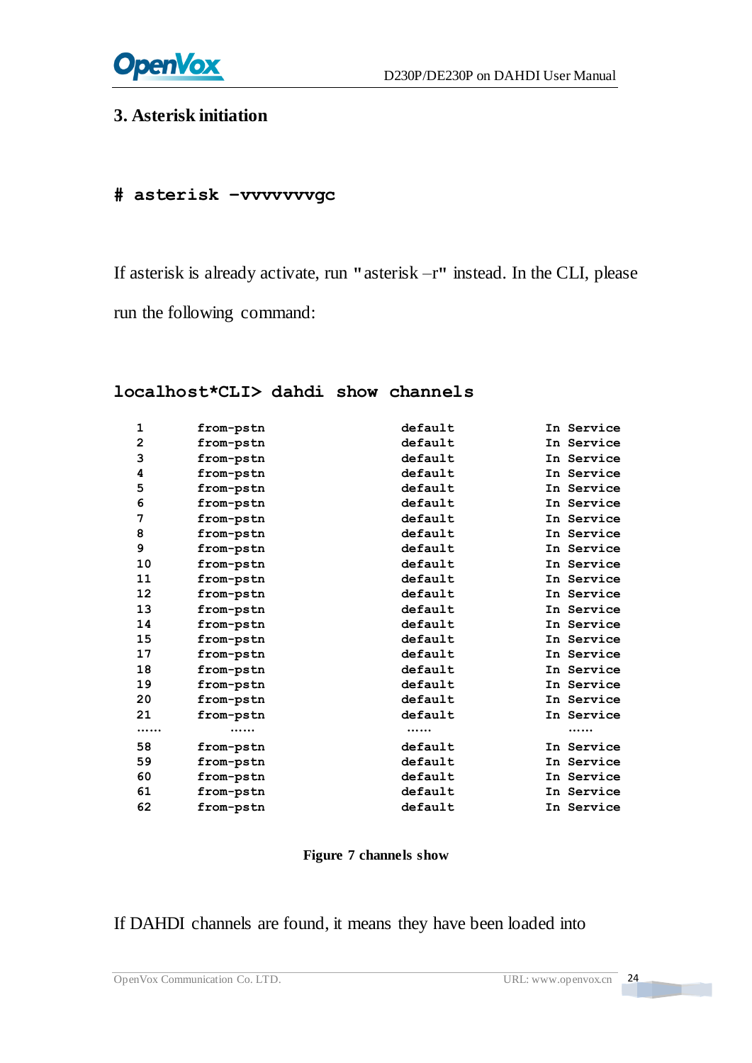

#### **3. Asterisk initiation**

## **# asterisk –vvvvvvvgc**

If asterisk is already activate, run **"**asterisk –r**"** instead. In the CLI, please run the following command:

#### **localhost\*CLI> dahdi show channels**

| 1                 | from-pstn | default | In Service |
|-------------------|-----------|---------|------------|
| $\mathbf{2}$      | from-pstn | default | In Service |
| 3                 | from-pstn | default | In Service |
| 4                 | from-pstn | default | In Service |
| 5                 | from-pstn | default | In Service |
| 6                 | from-pstn | default | In Service |
| 7                 | from-pstn | default | In Service |
| 8                 | from-pstn | default | In Service |
| 9                 | from-pstn | default | In Service |
| 10                | from-pstn | default | In Service |
| 11                | from-pstn | default | In Service |
| $12 \overline{ }$ | from-pstn | default | In Service |
| 13                | from-pstn | default | In Service |
| 14                | from-pstn | default | In Service |
| 15                | from-pstn | default | In Service |
| 17                | from-pstn | default | In Service |
| 18                | from-pstn | default | In Service |
| 19                | from-pstn | default | In Service |
| 20                | from-pstn | default | In Service |
| 21                | from-pstn | default | In Service |
|                   |           |         |            |
| 58                | from-pstn | default | In Service |
| 59                | from-pstn | default | In Service |
| 60                | from-pstn | default | In Service |
| 61                | from-pstn | default | In Service |
| 62                | from-pstn | default | In Service |
|                   |           |         |            |

#### **Figure 7 channels show**

#### If DAHDI channels are found, it means they have been loaded into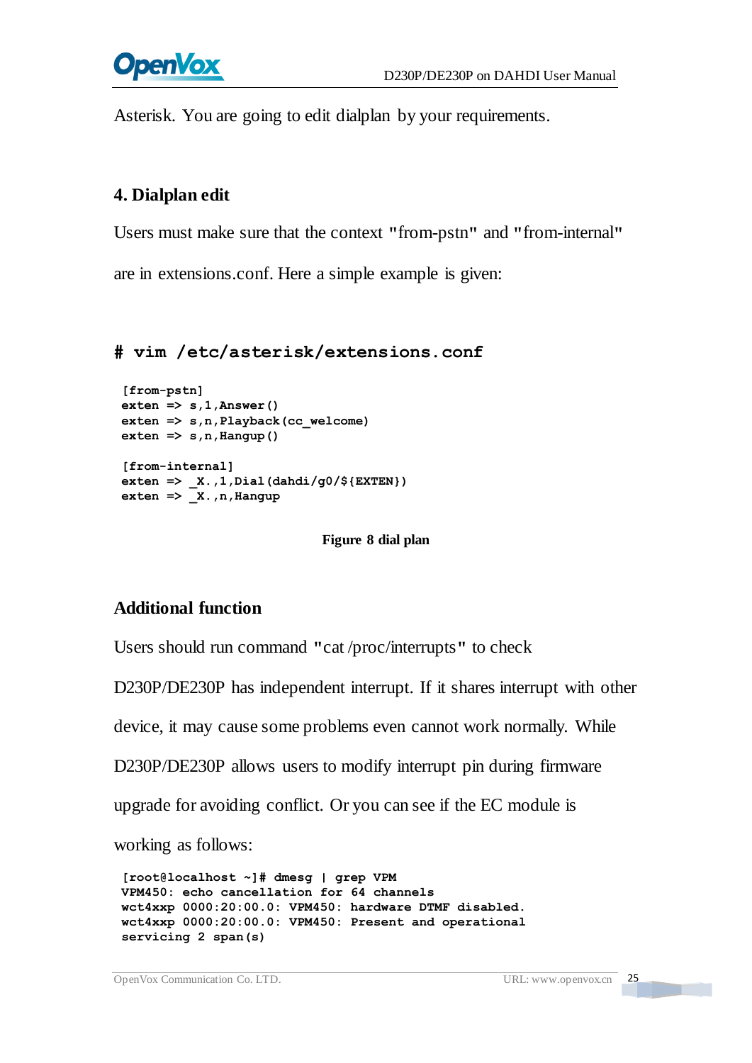

Asterisk. You are going to edit dialplan by your requirements.

#### **4. Dialplan edit**

Users must make sure that the context **"**from-pstn**"** and **"**from-internal**"**

are in extensions.conf. Here a simple example is given:

#### **# vim /etc/asterisk/extensions.conf**

```
[from-pstn] exten => s,1,Answer() exten => s,n,Playback(cc_welcome) ext{en} \Rightarrow s, n, Hangup()
[from-internal] exten => _X.,1,Dial(dahdi/g0/${EXTEN}) exten => _X.,n,Hangup
```
**Figure 8 dial plan**

#### **Additional function**

Users should run command **"**cat /proc/interrupts**"** to check

D230P/DE230P has independent interrupt. If it shares interrupt with other

device, it may cause some problems even cannot work normally. While

D230P/DE230P allows users to modify interrupt pin during firmware

upgrade for avoiding conflict. Or you can see if the EC module is

working as follows:

```
[root@localhost ~]# dmesg | grep VPM
VPM450: echo cancellation for 64 channels wct4xxp 0000:20:00.0: VPM450: hardware DTMF disabled. wct4xxp 0000:20:00.0: VPM450: Present and operational
servicing 2 span(s)
```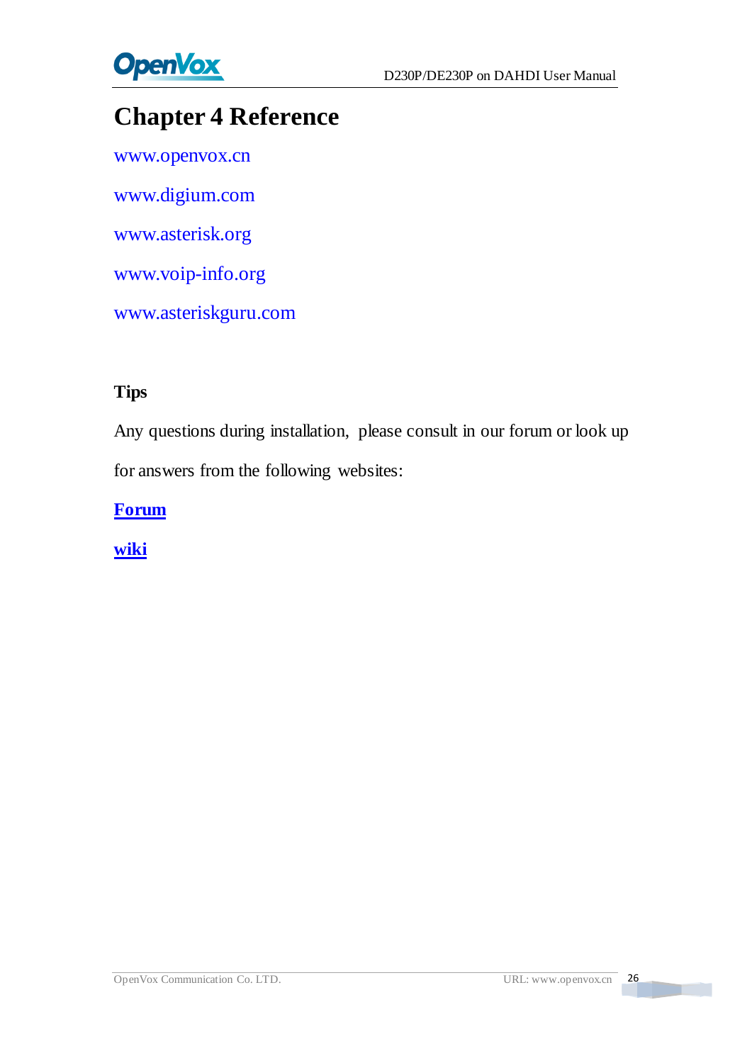

## <span id="page-26-0"></span>**Chapter 4 Reference**

[www.openvox.cn](http://www.openvox.cn/) [www.digium.com](http://www.digium.com/) [www.asterisk.org](http://www.asterisk.org/) [www.voip-info.org](http://www.voip-info.org/) [www.asteriskguru.com](http://www.asteriskguru.com/)

#### **Tips**

Any questions during installation, please consult in our forum or look up for answers from the following websites:

**[Forum](http://bbs.openvox.cn/)**

**[wiki](http://wiki.openvox.cn/index.php/%E9%A6%96%E9%A1%B5)**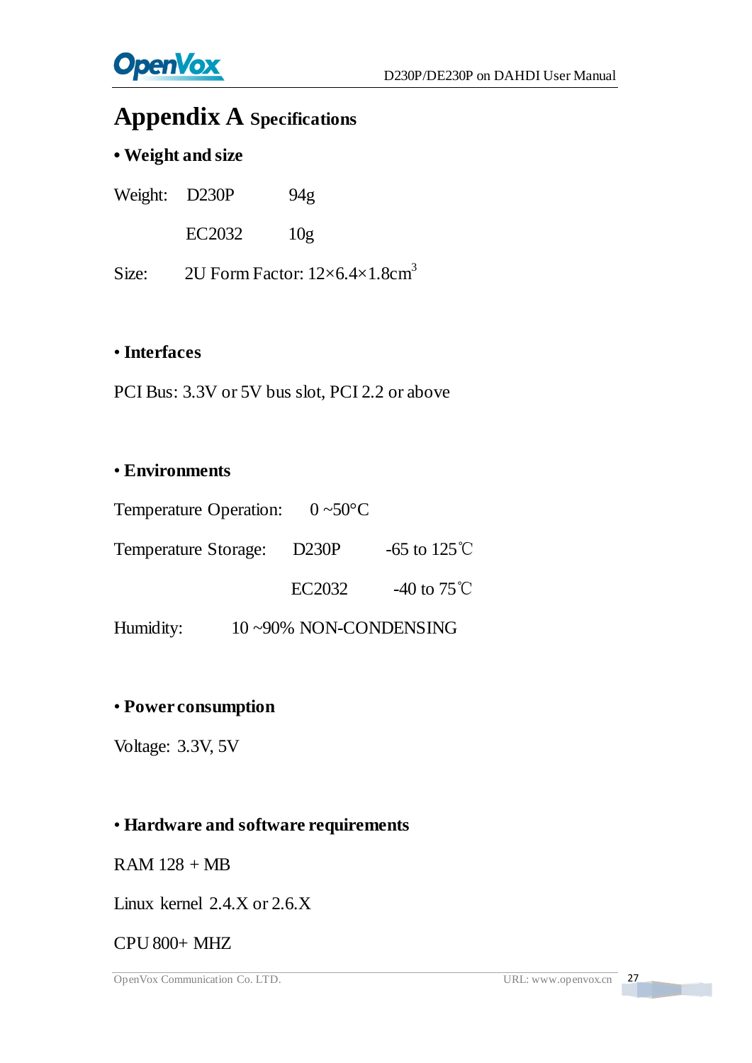

## <span id="page-27-0"></span>**Appendix A Specifications**

#### **• Weight and size**

| Weight: D230P |        | 94 <sub>g</sub> |
|---------------|--------|-----------------|
|               | EC2032 | 10g             |

Size:  $2$ U Form Factor:  $12 \times 6.4 \times 1.8$ cm $^3$ 

#### • **Interfaces**

PCI Bus: 3.3V or 5V bus slot, PCI 2.2 or above

#### • **Environments**

| Temperature Operation: $0 \sim 50 \text{ C}$ |                       |                        |
|----------------------------------------------|-----------------------|------------------------|
| Temperature Storage:                         | <b>D230P</b>          | -65 to $125^{\circ}$ C |
|                                              | EC2032                | -40 to $75^{\circ}$ C  |
| Humidity:                                    | 10~90% NON-CONDENSING |                        |

#### • **Power consumption**

Voltage: 3.3V, 5V

#### • **Hardware and software requirements**

 $RAM 128 + MB$ 

Linux kernel 2.4.X or 2.6.X

#### CPU 800+ MHZ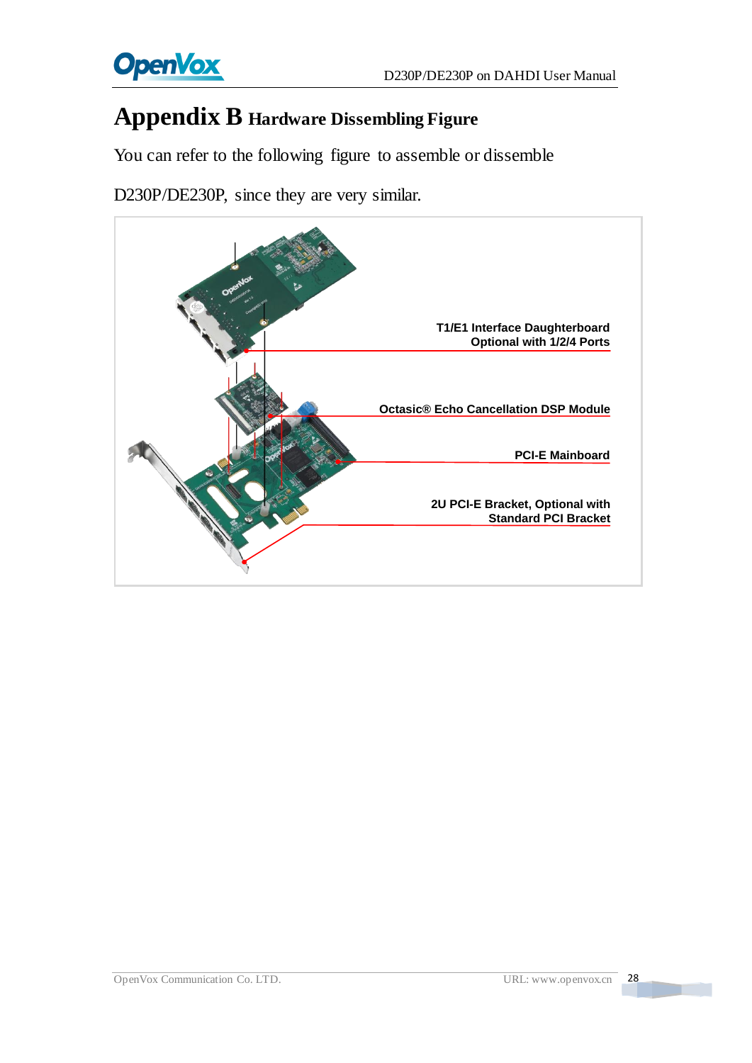

## <span id="page-28-0"></span>**Appendix B Hardware Dissembling Figure**

You can refer to the following figure to assemble or dissemble

D230P/DE230P, since they are very similar.